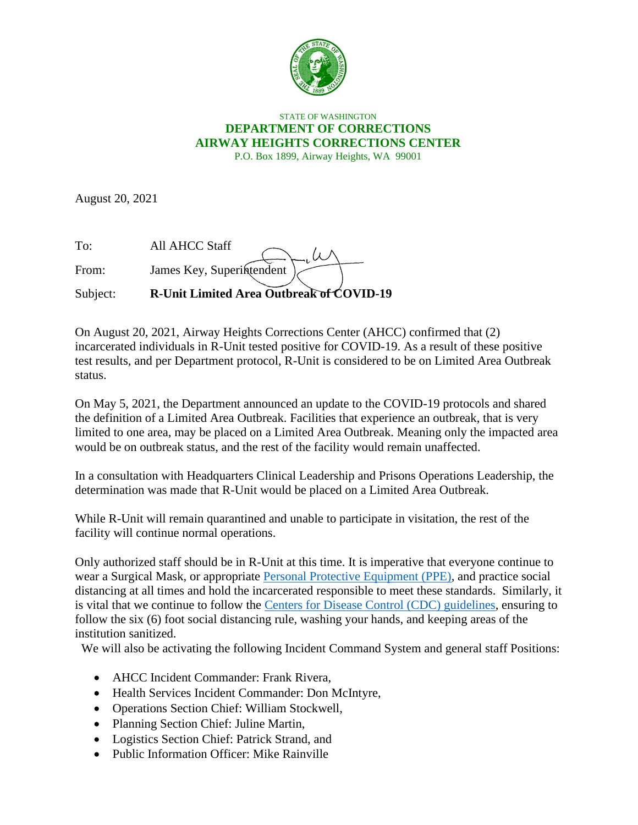

## STATE OF WASHINGTON **DEPARTMENT OF CORRECTIONS AIRWAY HEIGHTS CORRECTIONS CENTER** P.O. Box 1899, Airway Heights, WA 99001

August 20, 2021

| To:      | All AHCC Staff                           |
|----------|------------------------------------------|
| From:    | James Key, Superintendent                |
| Subject: | R-Unit Limited Area Outbreak of COVID-19 |

On August 20, 2021, Airway Heights Corrections Center (AHCC) confirmed that (2) incarcerated individuals in R-Unit tested positive for COVID-19. As a result of these positive test results, and per Department protocol, R-Unit is considered to be on Limited Area Outbreak status.

On May 5, 2021, the Department announced an update to the COVID-19 protocols and shared the definition of a Limited Area Outbreak. Facilities that experience an outbreak, that is very limited to one area, may be placed on a Limited Area Outbreak. Meaning only the impacted area would be on outbreak status, and the rest of the facility would remain unaffected.

In a consultation with Headquarters Clinical Leadership and Prisons Operations Leadership, the determination was made that R-Unit would be placed on a Limited Area Outbreak.

While R-Unit will remain quarantined and unable to participate in visitation, the rest of the facility will continue normal operations.

Only authorized staff should be in R-Unit at this time. It is imperative that everyone continue to wear a Surgical Mask, or appropriate [Personal Protective Equipment \(PPE\),](https://www.doc.wa.gov/corrections/covid-19/docs/ppe-matrix.pdf) and practice social distancing at all times and hold the incarcerated responsible to meet these standards. Similarly, it is vital that we continue to follow the [Centers for Disease Control \(CDC\) guidelines,](https://www.cdc.gov/coronavirus/2019-ncov/index.html) ensuring to follow the six (6) foot social distancing rule, washing your hands, and keeping areas of the institution sanitized.

We will also be activating the following Incident Command System and general staff Positions:

- AHCC Incident Commander: Frank Rivera,
- Health Services Incident Commander: Don McIntyre,
- Operations Section Chief: William Stockwell,
- Planning Section Chief: Juline Martin,
- Logistics Section Chief: Patrick Strand, and
- Public Information Officer: Mike Rainville